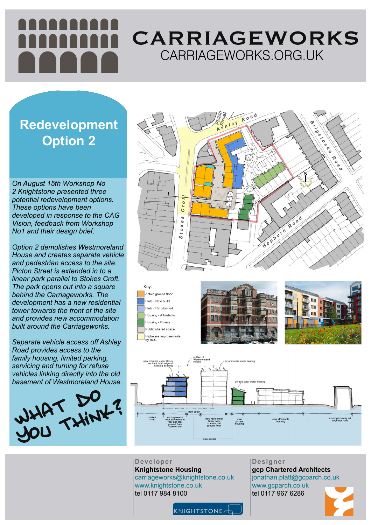**Designer gcp Chartered Architects** jonathan.platt@gcparch.co.uk www.gcparch.co.uk tel 0117 967 6286





# CARRIAGEWORKS CARRIAGEWORKS.ORG.UK

**Developer Knightstone Housing** carriageworks@knightstone.co.uk www.knightstone.co.uk tel 0117 984 8100

*On August 15th Workshop No 2 Knightstone presented three potential redevelopment options. These options have been developed in response to the CAG Vision, feedback from Workshop No1 and their design brief.*



*Option 2 demolishes Westmoreland House and creates separate vehicle and pedestrian access to the site. Picton Street is extended in to a linear park parallel to Stokes Croft. The park opens out into a square behind the Carriageworks. The development has a new residential tower towards the front of the site and provides new accommodation built around the Carriageworks.*

*Separate vehicle access off Ashley Road provides access to the family housing, limited parking, servicing and turning for refuse vehicles linking directly into the old basement of Westmoreland House.*

Key: Active ground floor Flats - New build Flats - Refurbished Housing - Affordable Housing - Private Public shared space Highways improvements by BCC







### **Redevelopment Option 2**